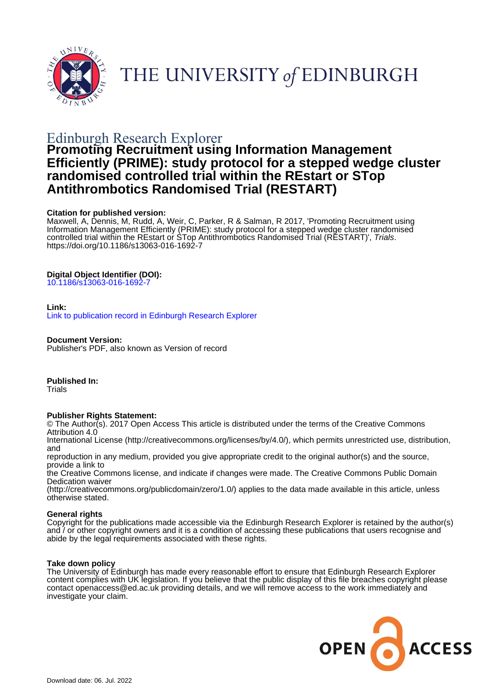

THE UNIVERSITY of EDINBURGH

# Edinburgh Research Explorer

# **Promoting Recruitment using Information Management Efficiently (PRIME): study protocol for a stepped wedge cluster randomised controlled trial within the REstart or STop Antithrombotics Randomised Trial (RESTART)**

# **Citation for published version:**

Maxwell, A, Dennis, M, Rudd, A, Weir, C, Parker, R & Salman, R 2017, 'Promoting Recruitment using Information Management Efficiently (PRIME): study protocol for a stepped wedge cluster randomised controlled trial within the REstart or STop Antithrombotics Randomised Trial (RESTART)', Trials. <https://doi.org/10.1186/s13063-016-1692-7>

# **Digital Object Identifier (DOI):**

[10.1186/s13063-016-1692-7](https://doi.org/10.1186/s13063-016-1692-7)

# **Link:**

[Link to publication record in Edinburgh Research Explorer](https://www.research.ed.ac.uk/en/publications/945c8685-022b-4916-a1e6-07cb1c3a4b84)

# **Document Version:**

Publisher's PDF, also known as Version of record

# **Published In:**

**Trials** 

# **Publisher Rights Statement:**

© The Author(s). 2017 Open Access This article is distributed under the terms of the Creative Commons Attribution 4.0

International License (http://creativecommons.org/licenses/by/4.0/), which permits unrestricted use, distribution, and

reproduction in any medium, provided you give appropriate credit to the original author(s) and the source, provide a link to

the Creative Commons license, and indicate if changes were made. The Creative Commons Public Domain Dedication waiver

(http://creativecommons.org/publicdomain/zero/1.0/) applies to the data made available in this article, unless otherwise stated.

# **General rights**

Copyright for the publications made accessible via the Edinburgh Research Explorer is retained by the author(s) and / or other copyright owners and it is a condition of accessing these publications that users recognise and abide by the legal requirements associated with these rights.

# **Take down policy**

The University of Edinburgh has made every reasonable effort to ensure that Edinburgh Research Explorer content complies with UK legislation. If you believe that the public display of this file breaches copyright please contact openaccess@ed.ac.uk providing details, and we will remove access to the work immediately and investigate your claim.

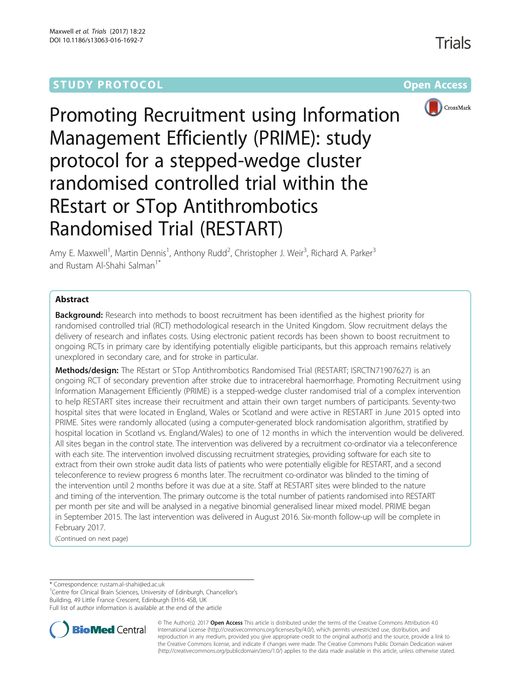# **STUDY PROTOCOL CONSUMING THE RESERVE ACCESS**



Promoting Recruitment using Information Management Efficiently (PRIME): study protocol for a stepped-wedge cluster randomised controlled trial within the REstart or STop Antithrombotics Randomised Trial (RESTART)

Amy E. Maxwell<sup>1</sup>, Martin Dennis<sup>1</sup>, Anthony Rudd<sup>2</sup>, Christopher J. Weir<sup>3</sup>, Richard A. Parker<sup>3</sup> and Rustam Al-Shahi Salman<sup>1</sup>

# Abstract

**Background:** Research into methods to boost recruitment has been identified as the highest priority for randomised controlled trial (RCT) methodological research in the United Kingdom. Slow recruitment delays the delivery of research and inflates costs. Using electronic patient records has been shown to boost recruitment to ongoing RCTs in primary care by identifying potentially eligible participants, but this approach remains relatively unexplored in secondary care, and for stroke in particular.

Methods/design: The REstart or STop Antithrombotics Randomised Trial (RESTART; ISRCTN71907627) is an ongoing RCT of secondary prevention after stroke due to intracerebral haemorrhage. Promoting Recruitment using Information Management Efficiently (PRIME) is a stepped-wedge cluster randomised trial of a complex intervention to help RESTART sites increase their recruitment and attain their own target numbers of participants. Seventy-two hospital sites that were located in England, Wales or Scotland and were active in RESTART in June 2015 opted into PRIME. Sites were randomly allocated (using a computer-generated block randomisation algorithm, stratified by hospital location in Scotland vs. England/Wales) to one of 12 months in which the intervention would be delivered. All sites began in the control state. The intervention was delivered by a recruitment co-ordinator via a teleconference with each site. The intervention involved discussing recruitment strategies, providing software for each site to extract from their own stroke audit data lists of patients who were potentially eligible for RESTART, and a second teleconference to review progress 6 months later. The recruitment co-ordinator was blinded to the timing of the intervention until 2 months before it was due at a site. Staff at RESTART sites were blinded to the nature and timing of the intervention. The primary outcome is the total number of patients randomised into RESTART per month per site and will be analysed in a negative binomial generalised linear mixed model. PRIME began in September 2015. The last intervention was delivered in August 2016. Six-month follow-up will be complete in February 2017.

(Continued on next page)

\* Correspondence: [rustam.al-shahi@ed.ac.uk](mailto:rustam.al-shahi@ed.ac.uk) <sup>1</sup>

<sup>1</sup> Centre for Clinical Brain Sciences, University of Edinburgh, Chancellor's Building, 49 Little France Crescent, Edinburgh EH16 4SB, UK Full list of author information is available at the end of the article



© The Author(s). 2017 **Open Access** This article is distributed under the terms of the Creative Commons Attribution 4.0 International License (http://creativecommons.org/licenses/by/4.0/), which permits unrestricted use, distribution, and reproduction in any medium, provided you give appropriate credit to the original author(s) and the source, provide a link to the Creative Commons license, and indicate if changes were made. The Creative Commons Public Domain Dedication waiver (http://creativecommons.org/publicdomain/zero/1.0/) applies to the data made available in this article, unless otherwise stated.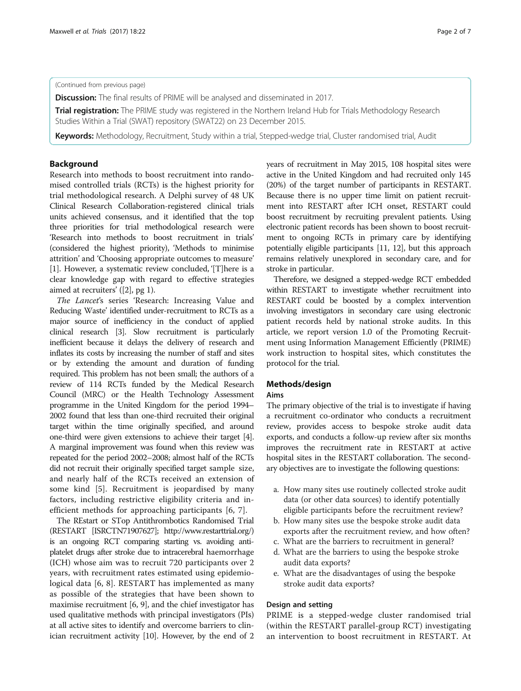### (Continued from previous page)

**Discussion:** The final results of PRIME will be analysed and disseminated in 2017.

**Trial registration:** The PRIME study was registered in the Northern Ireland Hub for Trials Methodology Research Studies Within a Trial (SWAT) repository [\(SWAT22\)](https://www.qub.ac.uk/sites/TheNorthernIrelandNetworkforTrialsMethodologyResearch/FileStore/Filetoupload,542008,en.pdf) on 23 December 2015.

Keywords: Methodology, Recruitment, Study within a trial, Stepped-wedge trial, Cluster randomised trial, Audit

#### Background

Research into methods to boost recruitment into randomised controlled trials (RCTs) is the highest priority for trial methodological research. A Delphi survey of 48 UK Clinical Research Collaboration-registered clinical trials units achieved consensus, and it identified that the top three priorities for trial methodological research were 'Research into methods to boost recruitment in trials' (considered the highest priority), 'Methods to minimise attrition' and 'Choosing appropriate outcomes to measure' [[1\]](#page-7-0). However, a systematic review concluded, '[T]here is a clear knowledge gap with regard to effective strategies aimed at recruiters' ([[2](#page-7-0)], pg 1).

The Lancet's series 'Research: Increasing Value and Reducing Waste' identified under-recruitment to RCTs as a major source of inefficiency in the conduct of applied clinical research [\[3](#page-7-0)]. Slow recruitment is particularly inefficient because it delays the delivery of research and inflates its costs by increasing the number of staff and sites or by extending the amount and duration of funding required. This problem has not been small; the authors of a review of 114 RCTs funded by the Medical Research Council (MRC) or the Health Technology Assessment programme in the United Kingdom for the period 1994– 2002 found that less than one-third recruited their original target within the time originally specified, and around one-third were given extensions to achieve their target [\[4](#page-7-0)]. A marginal improvement was found when this review was repeated for the period 2002–2008; almost half of the RCTs did not recruit their originally specified target sample size, and nearly half of the RCTs received an extension of some kind [\[5](#page-7-0)]. Recruitment is jeopardised by many factors, including restrictive eligibility criteria and inefficient methods for approaching participants [\[6](#page-7-0), [7](#page-7-0)].

The REstart or STop Antithrombotics Randomised Trial (RESTART [ISRCTN71907627];<http://www.restarttrial.org/>) is an ongoing RCT comparing starting vs. avoiding antiplatelet drugs after stroke due to intracerebral haemorrhage (ICH) whose aim was to recruit 720 participants over 2 years, with recruitment rates estimated using epidemiological data [[6, 8](#page-7-0)]. RESTART has implemented as many as possible of the strategies that have been shown to maximise recruitment [\[6, 9](#page-7-0)], and the chief investigator has used qualitative methods with principal investigators (PIs) at all active sites to identify and overcome barriers to clinician recruitment activity [\[10](#page-7-0)]. However, by the end of 2 years of recruitment in May 2015, 108 hospital sites were active in the United Kingdom and had recruited only 145 (20%) of the target number of participants in RESTART. Because there is no upper time limit on patient recruitment into RESTART after ICH onset, RESTART could boost recruitment by recruiting prevalent patients. Using electronic patient records has been shown to boost recruitment to ongoing RCTs in primary care by identifying potentially eligible participants [[11](#page-7-0), [12](#page-7-0)], but this approach remains relatively unexplored in secondary care, and for stroke in particular.

Therefore, we designed a stepped-wedge RCT embedded within RESTART to investigate whether recruitment into RESTART could be boosted by a complex intervention involving investigators in secondary care using electronic patient records held by national stroke audits. In this article, we report version 1.0 of the Promoting Recruitment using Information Management Efficiently (PRIME) work instruction to hospital sites, which constitutes the protocol for the trial.

### Methods/design

#### Aims

The primary objective of the trial is to investigate if having a recruitment co-ordinator who conducts a recruitment review, provides access to bespoke stroke audit data exports, and conducts a follow-up review after six months improves the recruitment rate in RESTART at active hospital sites in the RESTART collaboration. The secondary objectives are to investigate the following questions:

- a. How many sites use routinely collected stroke audit data (or other data sources) to identify potentially eligible participants before the recruitment review?
- b. How many sites use the bespoke stroke audit data exports after the recruitment review, and how often?
- c. What are the barriers to recruitment in general?
- d. What are the barriers to using the bespoke stroke audit data exports?
- e. What are the disadvantages of using the bespoke stroke audit data exports?

#### Design and setting

PRIME is a stepped-wedge cluster randomised trial (within the RESTART parallel-group RCT) investigating an intervention to boost recruitment in RESTART. At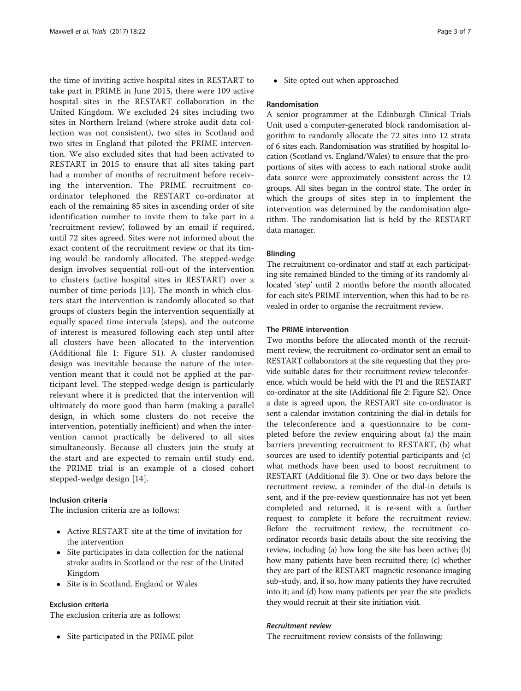the time of inviting active hospital sites in RESTART to take part in PRIME in June 2015, there were 109 active hospital sites in the RESTART collaboration in the United Kingdom. We excluded 24 sites including two sites in Northern Ireland (where stroke audit data collection was not consistent), two sites in Scotland and two sites in England that piloted the PRIME intervention. We also excluded sites that had been activated to RESTART in 2015 to ensure that all sites taking part had a number of months of recruitment before receiving the intervention. The PRIME recruitment coordinator telephoned the RESTART co-ordinator at each of the remaining 85 sites in ascending order of site identification number to invite them to take part in a 'recruitment review', followed by an email if required, until 72 sites agreed. Sites were not informed about the exact content of the recruitment review or that its timing would be randomly allocated. The stepped-wedge design involves sequential roll-out of the intervention to clusters (active hospital sites in RESTART) over a number of time periods [\[13](#page-7-0)]. The month in which clusters start the intervention is randomly allocated so that groups of clusters begin the intervention sequentially at equally spaced time intervals (steps), and the outcome of interest is measured following each step until after all clusters have been allocated to the intervention (Additional file [1](#page-6-0): Figure S1). A cluster randomised design was inevitable because the nature of the intervention meant that it could not be applied at the participant level. The stepped-wedge design is particularly relevant where it is predicted that the intervention will ultimately do more good than harm (making a parallel design, in which some clusters do not receive the intervention, potentially inefficient) and when the intervention cannot practically be delivered to all sites simultaneously. Because all clusters join the study at the start and are expected to remain until study end, the PRIME trial is an example of a closed cohort stepped-wedge design [\[14](#page-7-0)].

## Inclusion criteria

The inclusion criteria are as follows:

- Active RESTART site at the time of invitation for the intervention
- Site participates in data collection for the national stroke audits in Scotland or the rest of the United Kingdom
- Site is in Scotland, England or Wales

## Exclusion criteria

The exclusion criteria are as follows:

• Site participated in the PRIME pilot

• Site opted out when approached

#### Randomisation

A senior programmer at the Edinburgh Clinical Trials Unit used a computer-generated block randomisation algorithm to randomly allocate the 72 sites into 12 strata of 6 sites each. Randomisation was stratified by hospital location (Scotland vs. England/Wales) to ensure that the proportions of sites with access to each national stroke audit data source were approximately consistent across the 12 groups. All sites began in the control state. The order in which the groups of sites step in to implement the intervention was determined by the randomisation algorithm. The randomisation list is held by the RESTART data manager.

#### Blinding

The recruitment co-ordinator and staff at each participating site remained blinded to the timing of its randomly allocated 'step' until 2 months before the month allocated for each site's PRIME intervention, when this had to be revealed in order to organise the recruitment review.

## The PRIME intervention

Two months before the allocated month of the recruitment review, the recruitment co-ordinator sent an email to RESTART collaborators at the site requesting that they provide suitable dates for their recruitment review teleconference, which would be held with the PI and the RESTART co-ordinator at the site (Additional file [2:](#page-6-0) Figure S2). Once a date is agreed upon, the RESTART site co-ordinator is sent a calendar invitation containing the dial-in details for the teleconference and a questionnaire to be completed before the review enquiring about (a) the main barriers preventing recruitment to RESTART, (b) what sources are used to identify potential participants and (c) what methods have been used to boost recruitment to RESTART (Additional file [3](#page-6-0)). One or two days before the recruitment review, a reminder of the dial-in details is sent, and if the pre-review questionnaire has not yet been completed and returned, it is re-sent with a further request to complete it before the recruitment review. Before the recruitment review, the recruitment coordinator records basic details about the site receiving the review, including (a) how long the site has been active; (b) how many patients have been recruited there; (c) whether they are part of the RESTART magnetic resonance imaging sub-study, and, if so, how many patients they have recruited into it; and (d) how many patients per year the site predicts they would recruit at their site initiation visit.

#### Recruitment review

The recruitment review consists of the following: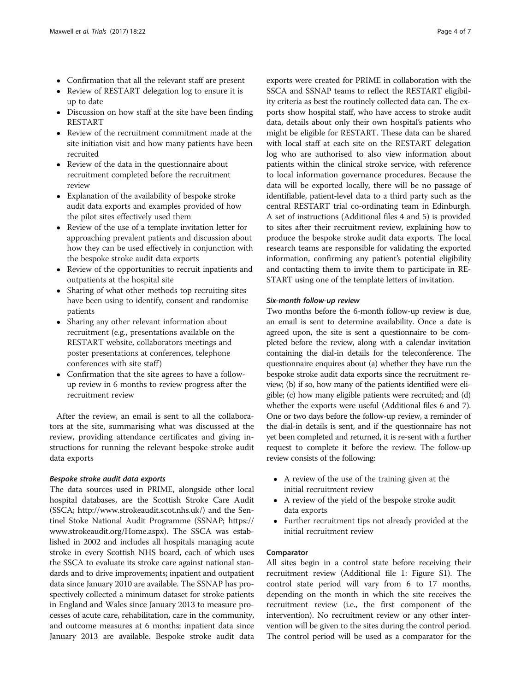- Confirmation that all the relevant staff are present
- Review of RESTART delegation log to ensure it is up to date
- Discussion on how staff at the site have been finding RESTART
- Review of the recruitment commitment made at the site initiation visit and how many patients have been recruited
- Review of the data in the questionnaire about recruitment completed before the recruitment review
- Explanation of the availability of bespoke stroke audit data exports and examples provided of how the pilot sites effectively used them
- Review of the use of a template invitation letter for approaching prevalent patients and discussion about how they can be used effectively in conjunction with the bespoke stroke audit data exports
- Review of the opportunities to recruit inpatients and outpatients at the hospital site
- Sharing of what other methods top recruiting sites have been using to identify, consent and randomise patients
- Sharing any other relevant information about recruitment (e.g., presentations available on the RESTART website, collaborators meetings and poster presentations at conferences, telephone conferences with site staff )
- Confirmation that the site agrees to have a followup review in 6 months to review progress after the recruitment review

After the review, an email is sent to all the collaborators at the site, summarising what was discussed at the review, providing attendance certificates and giving instructions for running the relevant bespoke stroke audit data exports

#### Bespoke stroke audit data exports

The data sources used in PRIME, alongside other local hospital databases, are the Scottish Stroke Care Audit (SSCA;<http://www.strokeaudit.scot.nhs.uk/>) and the Sentinel Stoke National Audit Programme (SSNAP; [https://](https://www.strokeaudit.org/Home.aspx) [www.strokeaudit.org/Home.aspx](https://www.strokeaudit.org/Home.aspx)). The SSCA was established in 2002 and includes all hospitals managing acute stroke in every Scottish NHS board, each of which uses the SSCA to evaluate its stroke care against national standards and to drive improvements; inpatient and outpatient data since January 2010 are available. The SSNAP has prospectively collected a minimum dataset for stroke patients in England and Wales since January 2013 to measure processes of acute care, rehabilitation, care in the community, and outcome measures at 6 months; inpatient data since January 2013 are available. Bespoke stroke audit data

exports were created for PRIME in collaboration with the SSCA and SSNAP teams to reflect the RESTART eligibility criteria as best the routinely collected data can. The exports show hospital staff, who have access to stroke audit data, details about only their own hospital's patients who might be eligible for RESTART. These data can be shared with local staff at each site on the RESTART delegation log who are authorised to also view information about patients within the clinical stroke service, with reference to local information governance procedures. Because the data will be exported locally, there will be no passage of identifiable, patient-level data to a third party such as the central RESTART trial co-ordinating team in Edinburgh. A set of instructions (Additional files [4](#page-6-0) and [5\)](#page-6-0) is provided to sites after their recruitment review, explaining how to produce the bespoke stroke audit data exports. The local research teams are responsible for validating the exported information, confirming any patient's potential eligibility and contacting them to invite them to participate in RE-START using one of the template letters of invitation.

## Six-month follow-up review

Two months before the 6-month follow-up review is due, an email is sent to determine availability. Once a date is agreed upon, the site is sent a questionnaire to be completed before the review, along with a calendar invitation containing the dial-in details for the teleconference. The questionnaire enquires about (a) whether they have run the bespoke stroke audit data exports since the recruitment review; (b) if so, how many of the patients identified were eligible; (c) how many eligible patients were recruited; and (d) whether the exports were useful (Additional files [6](#page-6-0) and [7](#page-6-0)). One or two days before the follow-up review, a reminder of the dial-in details is sent, and if the questionnaire has not yet been completed and returned, it is re-sent with a further request to complete it before the review. The follow-up review consists of the following:

- A review of the use of the training given at the initial recruitment review
- A review of the yield of the bespoke stroke audit data exports
- Further recruitment tips not already provided at the initial recruitment review

## Comparator

All sites begin in a control state before receiving their recruitment review (Additional file [1](#page-6-0): Figure S1). The control state period will vary from 6 to 17 months, depending on the month in which the site receives the recruitment review (i.e., the first component of the intervention). No recruitment review or any other intervention will be given to the sites during the control period. The control period will be used as a comparator for the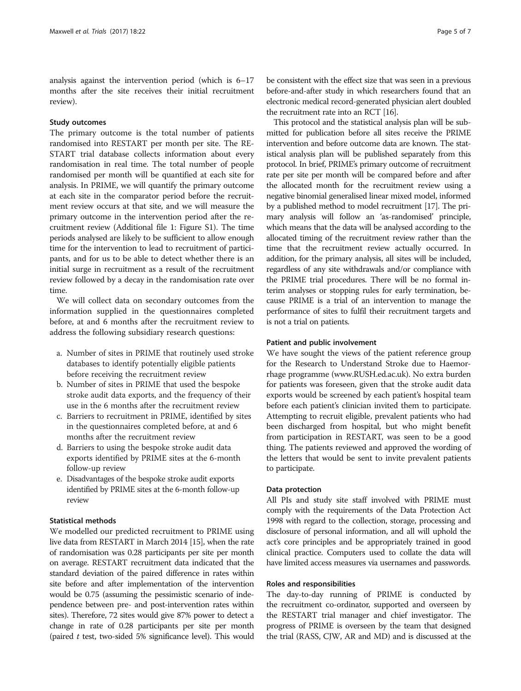analysis against the intervention period (which is 6–17 months after the site receives their initial recruitment review).

## Study outcomes

The primary outcome is the total number of patients randomised into RESTART per month per site. The RE-START trial database collects information about every randomisation in real time. The total number of people randomised per month will be quantified at each site for analysis. In PRIME, we will quantify the primary outcome at each site in the comparator period before the recruitment review occurs at that site, and we will measure the primary outcome in the intervention period after the recruitment review (Additional file [1](#page-6-0): Figure S1). The time periods analysed are likely to be sufficient to allow enough time for the intervention to lead to recruitment of participants, and for us to be able to detect whether there is an initial surge in recruitment as a result of the recruitment review followed by a decay in the randomisation rate over time.

We will collect data on secondary outcomes from the information supplied in the questionnaires completed before, at and 6 months after the recruitment review to address the following subsidiary research questions:

- a. Number of sites in PRIME that routinely used stroke databases to identify potentially eligible patients before receiving the recruitment review
- b. Number of sites in PRIME that used the bespoke stroke audit data exports, and the frequency of their use in the 6 months after the recruitment review
- c. Barriers to recruitment in PRIME, identified by sites in the questionnaires completed before, at and 6 months after the recruitment review
- d. Barriers to using the bespoke stroke audit data exports identified by PRIME sites at the 6-month follow-up review
- e. Disadvantages of the bespoke stroke audit exports identified by PRIME sites at the 6-month follow-up review

### Statistical methods

We modelled our predicted recruitment to PRIME using live data from RESTART in March 2014 [[15](#page-7-0)], when the rate of randomisation was 0.28 participants per site per month on average. RESTART recruitment data indicated that the standard deviation of the paired difference in rates within site before and after implementation of the intervention would be 0.75 (assuming the pessimistic scenario of independence between pre- and post-intervention rates within sites). Therefore, 72 sites would give 87% power to detect a change in rate of 0.28 participants per site per month (paired  $t$  test, two-sided 5% significance level). This would

be consistent with the effect size that was seen in a previous before-and-after study in which researchers found that an electronic medical record-generated physician alert doubled the recruitment rate into an RCT [\[16](#page-7-0)].

This protocol and the statistical analysis plan will be submitted for publication before all sites receive the PRIME intervention and before outcome data are known. The statistical analysis plan will be published separately from this protocol. In brief, PRIME's primary outcome of recruitment rate per site per month will be compared before and after the allocated month for the recruitment review using a negative binomial generalised linear mixed model, informed by a published method to model recruitment [\[17\]](#page-7-0). The primary analysis will follow an 'as-randomised' principle, which means that the data will be analysed according to the allocated timing of the recruitment review rather than the time that the recruitment review actually occurred. In addition, for the primary analysis, all sites will be included, regardless of any site withdrawals and/or compliance with the PRIME trial procedures. There will be no formal interim analyses or stopping rules for early termination, because PRIME is a trial of an intervention to manage the performance of sites to fulfil their recruitment targets and is not a trial on patients.

### Patient and public involvement

We have sought the views of the patient reference group for the Research to Understand Stroke due to Haemorrhage programme [\(www.RUSH.ed.ac.uk](http://www.RUSH.ed.ac.uk)). No extra burden for patients was foreseen, given that the stroke audit data exports would be screened by each patient's hospital team before each patient's clinician invited them to participate. Attempting to recruit eligible, prevalent patients who had been discharged from hospital, but who might benefit from participation in RESTART, was seen to be a good thing. The patients reviewed and approved the wording of the letters that would be sent to invite prevalent patients to participate.

#### Data protection

All PIs and study site staff involved with PRIME must comply with the requirements of the Data Protection Act 1998 with regard to the collection, storage, processing and disclosure of personal information, and all will uphold the act's core principles and be appropriately trained in good clinical practice. Computers used to collate the data will have limited access measures via usernames and passwords.

#### Roles and responsibilities

The day-to-day running of PRIME is conducted by the recruitment co-ordinator, supported and overseen by the RESTART trial manager and chief investigator. The progress of PRIME is overseen by the team that designed the trial (RASS, CJW, AR and MD) and is discussed at the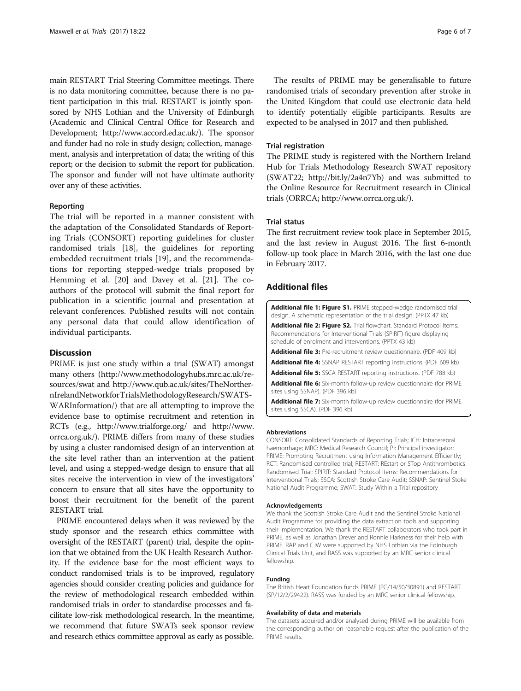<span id="page-6-0"></span>main RESTART Trial Steering Committee meetings. There is no data monitoring committee, because there is no patient participation in this trial. RESTART is jointly sponsored by NHS Lothian and the University of Edinburgh (Academic and Clinical Central Office for Research and Development;<http://www.accord.ed.ac.uk/>). The sponsor and funder had no role in study design; collection, management, analysis and interpretation of data; the writing of this report; or the decision to submit the report for publication. The sponsor and funder will not have ultimate authority over any of these activities.

#### Reporting

The trial will be reported in a manner consistent with the adaptation of the Consolidated Standards of Reporting Trials (CONSORT) reporting guidelines for cluster randomised trials [[18](#page-7-0)], the guidelines for reporting embedded recruitment trials [[19](#page-7-0)], and the recommendations for reporting stepped-wedge trials proposed by Hemming et al. [\[20](#page-7-0)] and Davey et al. [[21\]](#page-7-0). The coauthors of the protocol will submit the final report for publication in a scientific journal and presentation at relevant conferences. Published results will not contain any personal data that could allow identification of individual participants.

### **Discussion**

PRIME is just one study within a trial (SWAT) amongst many others [\(http://www.methodologyhubs.mrc.ac.uk/re](http://www.methodologyhubs.mrc.ac.uk/resources/swat)[sources/swat](http://www.methodologyhubs.mrc.ac.uk/resources/swat) and [http://www.qub.ac.uk/sites/TheNorther](http://www.qub.ac.uk/sites/TheNorthernIrelandNetworkforTrialsMethodologyResearch/SWATSWARInformation/)[nIrelandNetworkforTrialsMethodologyResearch/SWATS-](http://www.qub.ac.uk/sites/TheNorthernIrelandNetworkforTrialsMethodologyResearch/SWATSWARInformation/)[WARInformation/](http://www.qub.ac.uk/sites/TheNorthernIrelandNetworkforTrialsMethodologyResearch/SWATSWARInformation/)) that are all attempting to improve the evidence base to optimise recruitment and retention in RCTs (e.g.,<http://www.trialforge.org/> and [http://www.](http://www.orrca.org.uk/) [orrca.org.uk/](http://www.orrca.org.uk/)). PRIME differs from many of these studies by using a cluster randomised design of an intervention at the site level rather than an intervention at the patient level, and using a stepped-wedge design to ensure that all sites receive the intervention in view of the investigators' concern to ensure that all sites have the opportunity to boost their recruitment for the benefit of the parent RESTART trial.

PRIME encountered delays when it was reviewed by the study sponsor and the research ethics committee with oversight of the RESTART (parent) trial, despite the opinion that we obtained from the UK Health Research Authority. If the evidence base for the most efficient ways to conduct randomised trials is to be improved, regulatory agencies should consider creating policies and guidance for the review of methodological research embedded within randomised trials in order to standardise processes and facilitate low-risk methodological research. In the meantime, we recommend that future SWATs seek sponsor review and research ethics committee approval as early as possible.

The results of PRIME may be generalisable to future randomised trials of secondary prevention after stroke in the United Kingdom that could use electronic data held to identify potentially eligible participants. Results are expected to be analysed in 2017 and then published.

#### Trial registration

The PRIME study is registered with the Northern Ireland Hub for Trials Methodology Research SWAT repository (SWAT22;<http://bit.ly/2a4n7Yb>) and was submitted to the Online Resource for Recruitment research in Clinical trials (ORRCA;<http://www.orrca.org.uk/>).

#### Trial status

The first recruitment review took place in September 2015, and the last review in August 2016. The first 6-month follow-up took place in March 2016, with the last one due in February 2017.

#### Additional files

| <b>Additional file 1: Figure S1.</b> PRIME stepped-wedge randomised trial<br>design. A schematic representation of the trial design. (PPTX 47 kb)                                                        |
|----------------------------------------------------------------------------------------------------------------------------------------------------------------------------------------------------------|
| Additional file 2: Figure S2. Trial flowchart. Standard Protocol Items:<br>Recommendations for Interventional Trials (SPIRIT) figure displaying<br>schedule of enrolment and interventions. (PPTX 43 kb) |
| <b>Additional file 3:</b> Pre-recruitment review questionnaire. (PDF 409 kb)                                                                                                                             |
| <b>Additional file 4:</b> SSNAP RESTART reporting instructions. (PDF 609 kb)                                                                                                                             |
| <b>Additional file 5:</b> SSCA RESTART reporting instructions. (PDF 788 kb)                                                                                                                              |
| <b>Additional file 6:</b> Six-month follow-up review questionnaire (for PRIME<br>sites using SSNAP). (PDF 396 kb)                                                                                        |
| <b>Additional file 7:</b> Six-month follow-up review questionnaire (for PRIME<br>sites using SSCA). (PDF 396 kb)                                                                                         |

#### Abbreviations

CONSORT: Consolidated Standards of Reporting Trials; ICH: Intracerebral haemorrhage; MRC: Medical Research Council; PI: Principal investigator; PRIME: Promoting Recruitment using Information Management Efficiently; RCT: Randomised controlled trial; RESTART: REstart or STop Antithrombotics Randomised Trial; SPIRIT: Standard Protocol Items: Recommendations for Interventional Trials; SSCA: Scottish Stroke Care Audit; SSNAP: Sentinel Stoke National Audit Programme; SWAT: Study Within a Trial repository

#### Acknowledgements

We thank the Scottish Stroke Care Audit and the Sentinel Stroke National Audit Programme for providing the data extraction tools and supporting their implementation. We thank the RESTART collaborators who took part in PRIME, as well as Jonathan Drever and Ronnie Harkness for their help with PRIME. RAP and CJW were supported by NHS Lothian via the Edinburgh Clinical Trials Unit, and RASS was supported by an MRC senior clinical fellowship.

#### Funding

The British Heart Foundation funds PRIME (PG/14/50/30891) and RESTART (SP/12/2/29422). RASS was funded by an MRC senior clinical fellowship.

#### Availability of data and materials

The datasets acquired and/or analysed during PRIME will be available from the corresponding author on reasonable request after the publication of the PRIME results.